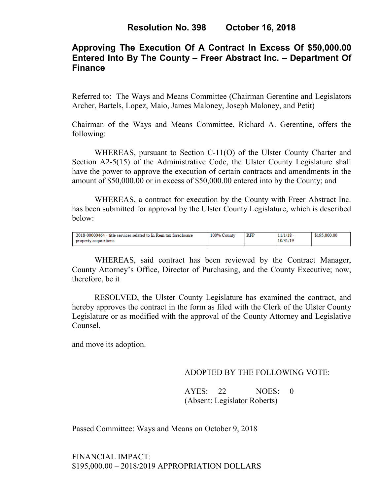# **Approving The Execution Of A Contract In Excess Of \$50,000.00 Entered Into By The County – Freer Abstract Inc. – Department Of Finance**

Referred to: The Ways and Means Committee (Chairman Gerentine and Legislators Archer, Bartels, Lopez, Maio, James Maloney, Joseph Maloney, and Petit)

Chairman of the Ways and Means Committee, Richard A. Gerentine, offers the following:

WHEREAS, pursuant to Section C-11(O) of the Ulster County Charter and Section A2-5(15) of the Administrative Code, the Ulster County Legislature shall have the power to approve the execution of certain contracts and amendments in the amount of \$50,000.00 or in excess of \$50,000.00 entered into by the County; and

WHEREAS, a contract for execution by the County with Freer Abstract Inc. has been submitted for approval by the Ulster County Legislature, which is described below:

| 2018-00000464 - title services related to In Rem tax foreclosure | 100% County | <b>RFP</b> | $11/1/18$ - | \$195,000.00 |
|------------------------------------------------------------------|-------------|------------|-------------|--------------|
| property acquisitions                                            |             |            | 10/31/19    |              |

WHEREAS, said contract has been reviewed by the Contract Manager, County Attorney's Office, Director of Purchasing, and the County Executive; now, therefore, be it

RESOLVED, the Ulster County Legislature has examined the contract, and hereby approves the contract in the form as filed with the Clerk of the Ulster County Legislature or as modified with the approval of the County Attorney and Legislative Counsel,

and move its adoption.

#### ADOPTED BY THE FOLLOWING VOTE:

AYES: 22 NOES: 0 (Absent: Legislator Roberts)

Passed Committee: Ways and Means on October 9, 2018

FINANCIAL IMPACT: \$195,000.00 – 2018/2019 APPROPRIATION DOLLARS